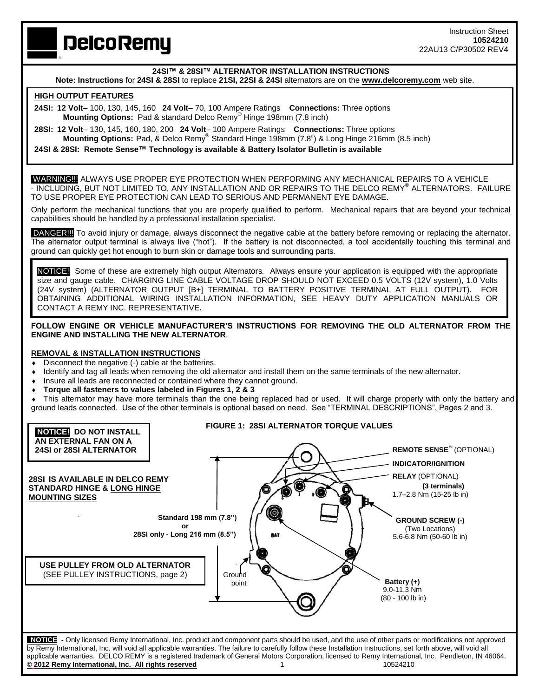# **DelcoRemy**

# **24SI™ & 28SI™ ALTERNATOR INSTALLATION INSTRUCTIONS**

**Note: Instructions** for **24SI & 28SI** to replace **21SI, 22SI & 24SI** alternators are on the **www.delcoremy.com** web site.

## **HIGH OUTPUT FEATURES**

٦

**24SI: 12 Volt**– 100, 130, 145, 160 **24 Volt**– 70, 100 Ampere Ratings **Connections:** Three options  **Mounting Options:** Pad & standard Delco Remy® Hinge 198mm (7.8 inch)

**28SI: 12 Volt**– 130, 145, 160, 180, 200 **24 Volt**– 100 Ampere Ratings **Connections:** Three options **Mounting Options:** Pad, & Delco Remy® Standard Hinge 198mm (7.8") & Long Hinge 216mm (8.5 inch)

**24SI & 28SI: Remote Sense™ Technology is available & Battery Isolator Bulletin is available** 

WARNING!!! ALWAYS USE PROPER EYE PROTECTION WHEN PERFORMING ANY MECHANICAL REPAIRS TO A VEHICLE - INCLUDING, BUT NOT LIMITED TO, ANY INSTALLATION AND OR REPAIRS TO THE DELCO REMY® ALTERNATORS. FAILURE TO USE PROPER EYE PROTECTION CAN LEAD TO SERIOUS AND PERMANENT EYE DAMAGE.

Only perform the mechanical functions that you are properly qualified to perform. Mechanical repairs that are beyond your technical capabilities should be handled by a professional installation specialist.

DANGER!!! To avoid injury or damage, always disconnect the negative cable at the battery before removing or replacing the alternator. The alternator output terminal is always live ("hot"). If the battery is not disconnected, a tool accidentally touching this terminal and ground can quickly get hot enough to burn skin or damage tools and surrounding parts.

NOTICE!Some of these are extremely high output Alternators*.* Always ensure your application is equipped with the appropriate size and gauge cable. CHARGING LINE CABLE VOLTAGE DROP SHOULD NOT EXCEED 0.5 VOLTS (12V system), 1.0 Volts (24V system) (ALTERNATOR OUTPUT [B+] TERMINAL TO BATTERY POSITIVE TERMINAL AT FULL OUTPUT). FOR OBTAINING ADDITIONAL WIRING INSTALLATION INFORMATION, SEE HEAVY DUTY APPLICATION MANUALS OR CONTACT A REMY INC. REPRESENTATIVE**.**

**FOLLOW ENGINE OR VEHICLE MANUFACTURER'S INSTRUCTIONS FOR REMOVING THE OLD ALTERNATOR FROM THE ENGINE AND INSTALLING THE NEW ALTERNATOR**.

### **REMOVAL & INSTALLATION INSTRUCTIONS**

- Disconnect the negative (-) cable at the batteries.
- Identify and tag all leads when removing the old alternator and install them on the same terminals of the new alternator.
- Insure all leads are reconnected or contained where they cannot ground.
- **Torque all fasteners to values labeled in Figures 1, 2 & 3**

 This alternator may have more terminals than the one being replaced had or used. It will charge properly with only the battery and ground leads connected. Use of the other terminals is optional based on need. See "TERMINAL DESCRIPTIONS", Pages 2 and 3.

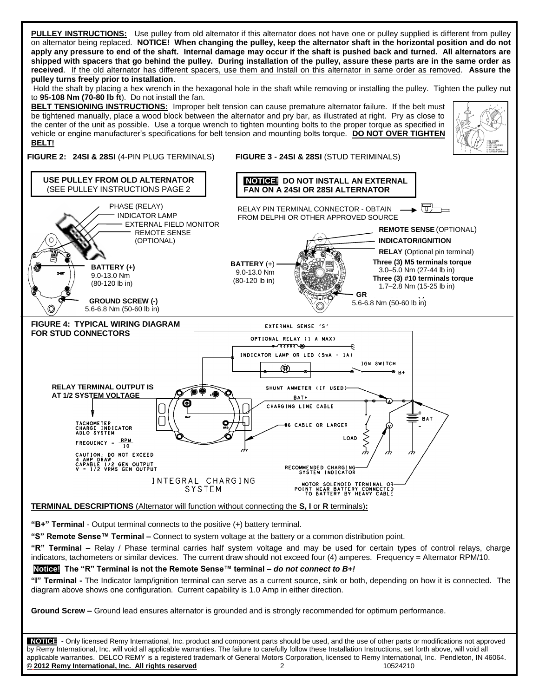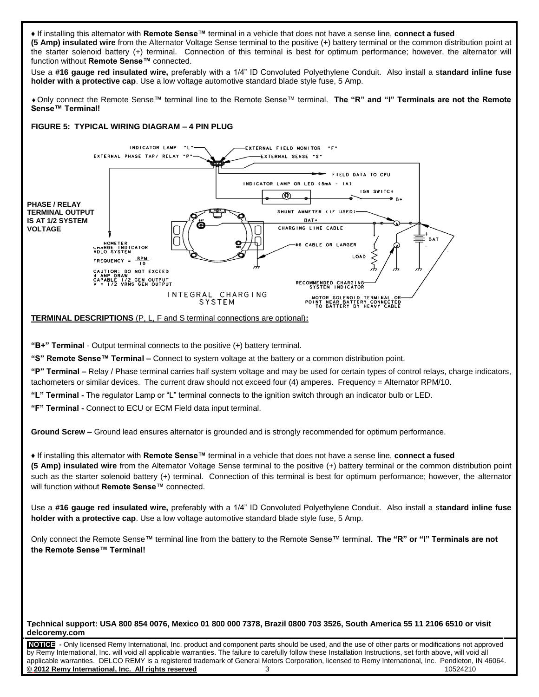♦ If installing this alternator with **Remote Sense™** terminal in a vehicle that does not have a sense line, **connect a fused (5 Amp) insulated wire** from the Alternator Voltage Sense terminal to the positive (+) battery terminal or the common distribution point at the starter solenoid battery (+) terminal. Connection of this terminal is best for optimum performance; however, the alternator will function without **Remote Sense™** connected. Use a **#16 gauge red insulated wire,** preferably with a 1/4" ID Convoluted Polyethylene Conduit. Also install a s**tandard inline fuse holder with a protective cap**. Use a low voltage automotive standard blade style fuse, 5 Amp. Only connect the Remote Sense™ terminal line to the Remote Sense™ terminal. **The "R" and "I" Terminals are not the Remote Sense™ Terminal! FIGURE 5: TYPICAL WIRING DIAGRAM – 4 PIN PLUG** INDICATOR LAMP "L"-EXTERNAL FIELD MONITOR EXTERNAL PHASE TAP/ RELAY "P EXTERNAL SENSE "S" FIELD DATA TO CPU INDICATOR LAMP OR LED (5mA - IA) IGN SWITCH @ +е в **PHASE / RELAY**  SHUNT AMMETER (IF USED)-**TERMINAL OUTPUT IS AT 1/2 SYSTEM**  BAT+ CHARGING LINE CABLE **VOLTAGE**BAT HOMETER<br>UnaRGE INDICATOR<br>ADLO SYSTEM #6 CABLE OR LARGER **LOAD** FREQUENCY =  $\frac{RPM}{10}$ ג CAUTION: DO NOT EXCEED<br>4 AMP DRAW<br>CAPABLE 1/2 GEN OUTPUT<br>V = 1/2 VRMS GEN OUTPUT RECOMMENDED CHARGING<br>SYSTEM INDICATOR INTEGRAL CHARGING MOTOR SOLENOID TERMINAL OR<br>POINT NEAR BATTERY CONNECTED<br>TO BATTERY BY HEAVY CABLE **SYSTEM TERMINAL DESCRIPTIONS** (P, L, F and S terminal connections are optional)**: "B+" Terminal** - Output terminal connects to the positive (+) battery terminal. **"S" Remote Sense™ Terminal –** Connect to system voltage at the battery or a common distribution point. **"P" Terminal –** Relay / Phase terminal carries half system voltage and may be used for certain types of control relays, charge indicators, tachometers or similar devices. The current draw should not exceed four (4) amperes. Frequency = Alternator RPM/10. **"L" Terminal -** The regulator Lamp or "L" terminal connects to the ignition switch through an indicator bulb or LED. **"F" Terminal -** Connect to ECU or ECM Field data input terminal. **Ground Screw –** Ground lead ensures alternator is grounded and is strongly recommended for optimum performance. ♦ If installing this alternator with **Remote Sense™** terminal in a vehicle that does not have a sense line, **connect a fused (5 Amp) insulated wire** from the Alternator Voltage Sense terminal to the positive (+) battery terminal or the common distribution point such as the starter solenoid battery (+) terminal. Connection of this terminal is best for optimum performance; however, the alternator will function without **Remote Sense™** connected. Use a **#16 gauge red insulated wire,** preferably with a 1/4" ID Convoluted Polyethylene Conduit. Also install a s**tandard inline fuse holder with a protective cap**. Use a low voltage automotive standard blade style fuse, 5 Amp. Only connect the Remote Sense™ terminal line from the battery to the Remote Sense™ terminal. **The "R" or "I" Terminals are not the Remote Sense™ Terminal!**

. **Technical support: USA 800 854 0076, Mexico 01 800 000 7378, Brazil 0800 703 3526, South America 55 11 2106 6510 or visit delcoremy.com**

**NOTICE -** Only licensed Remy International, Inc. product and component parts should be used, and the use of other parts or modifications not approved by Remy International, Inc. will void all applicable warranties. The failure to carefully follow these Installation Instructions, set forth above, will void all applicable warranties. DELCO REMY is a registered trademark of General Motors Corporation, licensed to Remy International, Inc. Pendleton, IN 46064. **© 2012 Remy International, Inc. All rights reserved** 3 10524210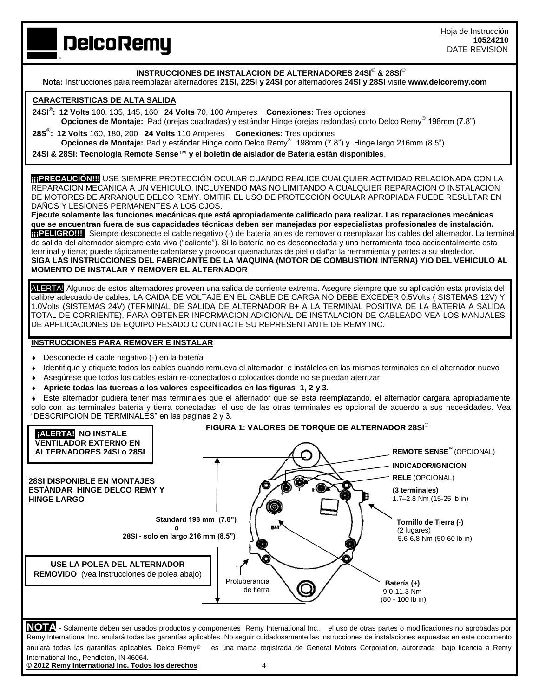# **DelcoRemy**

**INSTRUCCIONES DE INSTALACION DE ALTERNADORES 24SI**® **& 28SI**®

**Nota:** Instrucciones para reemplazar alternadores **21SI, 22SI y 24SI** por alternadores **24SI y 28SI** visite **www.delcoremy.com**

# **CARACTERISTICAS DE ALTA SALIDA**

- **24SI**® **: 12 Volts** 100, 135, 145, 160 **24 Volts** 70, 100 Amperes **Conexiones:** Tres opciones  **Opciones de Montaje:** Pad (orejas cuadradas) y estándar Hinge (orejas redondas) corto Delco Remy® 198mm (7.8")
- **28S**® **: 12 Volts** 160, 180, 200 **24 Volts** 110 Amperes **Conexiones:** Tres opciones **Opciones de Montaje:** Pad y estándar Hinge corto Delco Remy® 198mm (7.8") y Hinge largo 216mm (8.5") **24SI & 28SI: Tecnología Remote Sense™ y el boletín de aislador de Batería están disponibles**.

**¡¡¡PRECAUCIÓN!!!!**USE SIEMPRE PROTECCIÓN OCULAR CUANDO REALICE CUALQUIER ACTIVIDAD RELACIONADA CON LA REPARACIÓN MECÁNICA A UN VEHÍCULO, INCLUYENDO MÁS NO LIMITANDO A CUALQUIER REPARACIÓN O INSTALACIÓN DE MOTORES DE ARRANQUE DELCO REMY. OMITIR EL USO DE PROTECCIÓN OCULAR APROPIADA PUEDE RESULTAR EN DAÑOS Y LESIONES PERMANENTES A LOS OJOS.

**Ejecute solamente las funciones mecánicas que está apropiadamente calificado para realizar. Las reparaciones mecánicas que se encuentran fuera de sus capacidades técnicas deben ser manejadas por especialistas profesionales de instalación. ¡¡¡PELIGRO!!!** Siempre desconecte el cable negativo (-) de batería antes de remover o reemplazar los cables del alternador. La terminal de salida del alternador siempre esta viva ("caliente"). Si la batería no es desconectada y una herramienta toca accidentalmente esta terminal y tierra; puede rápidamente calentarse y provocar quemaduras de piel o dañar la herramienta y partes a su alrededor. **SIGA LAS INSTRUCCIONES DEL FABRICANTE DE LA MAQUINA (MOTOR DE COMBUSTION INTERNA) Y/O DEL VEHICULO AL MOMENTO DE INSTALAR Y REMOVER EL ALTERNADOR**

ALERTA! Algunos de estos alternadores proveen una salida de corriente extrema. Asegure siempre que su aplicación esta provista del calibre adecuado de cables: LA CAIDA DE VOLTAJE EN EL CABLE DE CARGA NO DEBE EXCEDER 0.5Volts ( SISTEMAS 12V) Y 1.0Volts (SISTEMAS 24V) (TERMINAL DE SALIDA DE ALTERNADOR B+ A LA TERMINAL POSITIVA DE LA BATERIA A SALIDA TOTAL DE CORRIENTE). PARA OBTENER INFORMACION ADICIONAL DE INSTALACION DE CABLEADO VEA LOS MANUALES DE APPLICACIONES DE EQUIPO PESADO O CONTACTE SU REPRESENTANTE DE REMY INC.

### **INSTRUCCIONES PARA REMOVER E INSTALAR**

- Desconecte el cable negativo (-) en la batería
- Identifique y etiquete todos los cables cuando remueva el alternador e instálelos en las mismas terminales en el alternador nuevo
- Asegúrese que todos los cables están re-conectados o colocados donde no se puedan aterrizar
- **Apriete todas las tuercas a los valores especificados en las figuras 1, 2 y 3.**
- Este alternador pudiera tener mas terminales que el alternador que se esta reemplazando, el alternador cargara apropiadamente solo con las terminales batería y tierra conectadas, el uso de las otras terminales es opcional de acuerdo a sus necesidades. Vea "DESCRIPCION DE TERMINALES" en las paginas 2 y 3.



**NOTA -** Solamente deben ser usados productos y componentes Remy International Inc., el uso de otras partes o modificaciones no aprobadas por Remy International Inc. anulará todas las garantías aplicables. No seguir cuidadosamente las instrucciones de instalaciones expuestas en este documento anulará todas las garantías aplicables. Delco Remy<sup>®</sup> es una marca registrada de General Motors Corporation, autorizada bajo licencia a Remy International Inc., Pendleton, IN 46064.

**© 2012 Remy International Inc. Todos los derechos** 4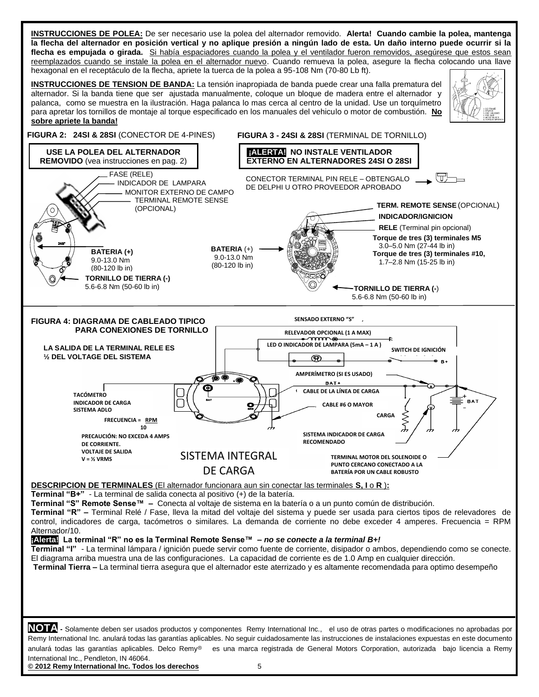**INSTRUCCIONES DE POLEA:** De ser necesario use la polea del alternador removido. **Alerta! Cuando cambie la polea, mantenga la flecha del alternador en posición vertical y no aplique presión a ningún lado de esta. Un daño interno puede ocurrir si la** flecha es empujada o girada. Si había espaciadores cuando la polea y el ventilador fueron removidos, asegúrese que estos sean reemplazados cuando se instale la polea en el alternador nuevo. Cuando remueva la polea, asegure la flecha colocando una llave hexagonal en el receptáculo de la flecha, apriete la tuerca de la polea a 95-108 Nm (70-80 Lb ft).

**INSTRUCCIONES DE TENSION DE BANDA:** La tensión inapropiada de banda puede crear una falla prematura del alternador. Si la banda tiene que ser ajustada manualmente, coloque un bloque de madera entre el alternador y palanca, como se muestra en la ilustración. Haga palanca lo mas cerca al centro de la unidad. Use un torquímetro para apretar los tornillos de montaje al torque especificado en los manuales del vehiculo o motor de combustión. **No sobre apriete la banda!**





**© 2012 Remy International Inc. Todos los derechos** 5